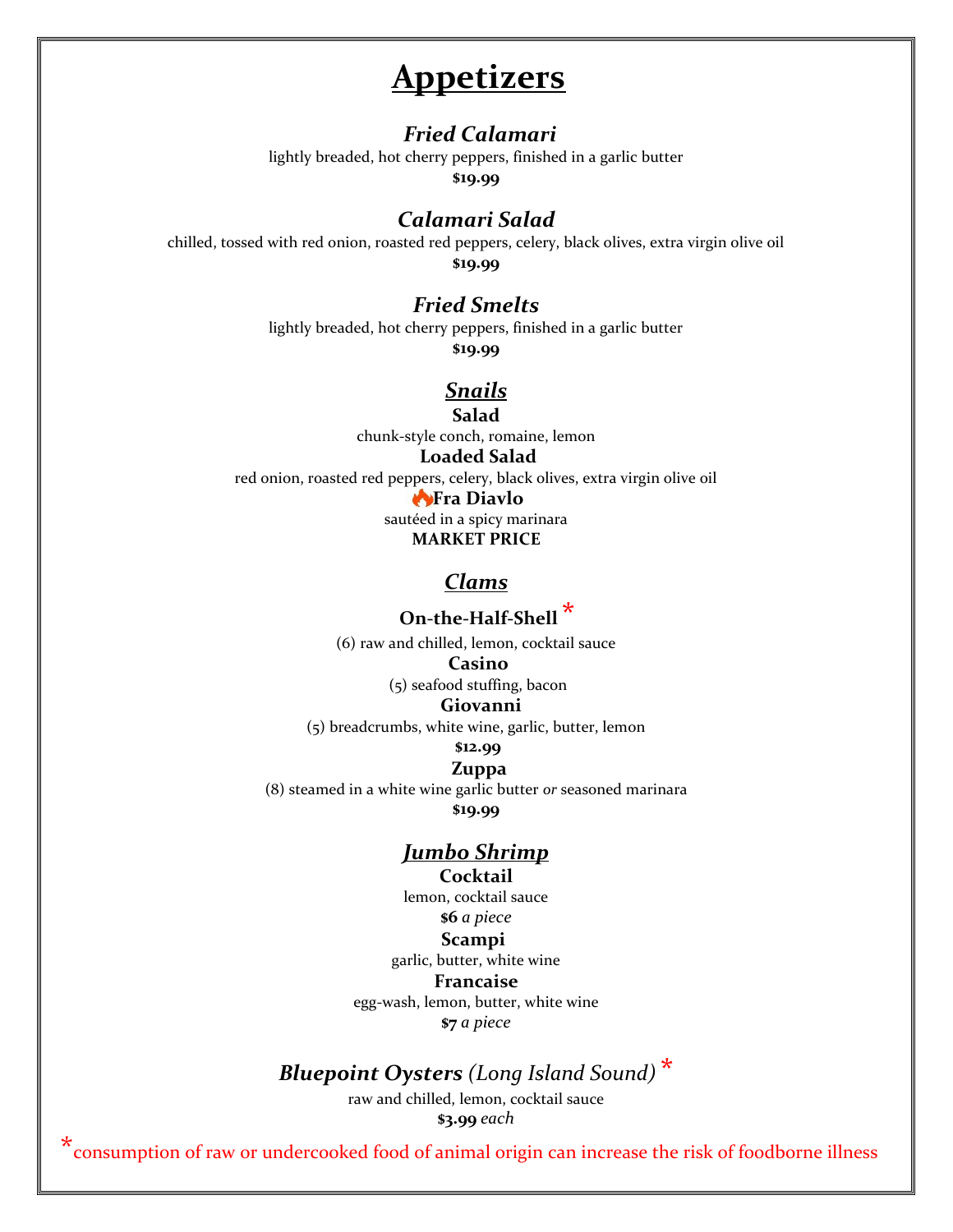# **Appetizers**

#### *Fried Calamari*

lightly breaded, hot cherry peppers, finished in a garlic butter

**\$19.99**

### *Calamari Salad*

chilled, tossed with red onion, roasted red peppers, celery, black olives, extra virgin olive oil **\$19.99**

## *Fried Smelts*

lightly breaded, hot cherry peppers, finished in a garlic butter

**\$19.99**

## *Snails*

**Salad** chunk-style conch, romaine, lemon

#### **Loaded Salad**

red onion, roasted red peppers, celery, black olives, extra virgin olive oil

#### **Fra Diavlo**

sautéed in a spicy marinara **MARKET PRICE**

### *Clams*

## **On-the-Half-Shell \***

(6) raw and chilled, lemon, cocktail sauce **Casino**

(5) seafood stuffing, bacon

#### **Giovanni**

(5) breadcrumbs, white wine, garlic, butter, lemon

#### **\$12.99**

#### **Zuppa**

(8) steamed in a white wine garlic butter *or* seasoned marinara

**\$19.99**

## *Jumbo Shrimp*

#### **Cocktail**

lemon, cocktail sauce **\$6** *a piece* **Scampi** garlic, butter, white wine **Francaise** egg-wash, lemon, butter, white wine

**\$7** *a piece*

## *Bluepoint Oysters (Long Island Sound)* **\***

raw and chilled, lemon, cocktail sauce **\$3.99** *each*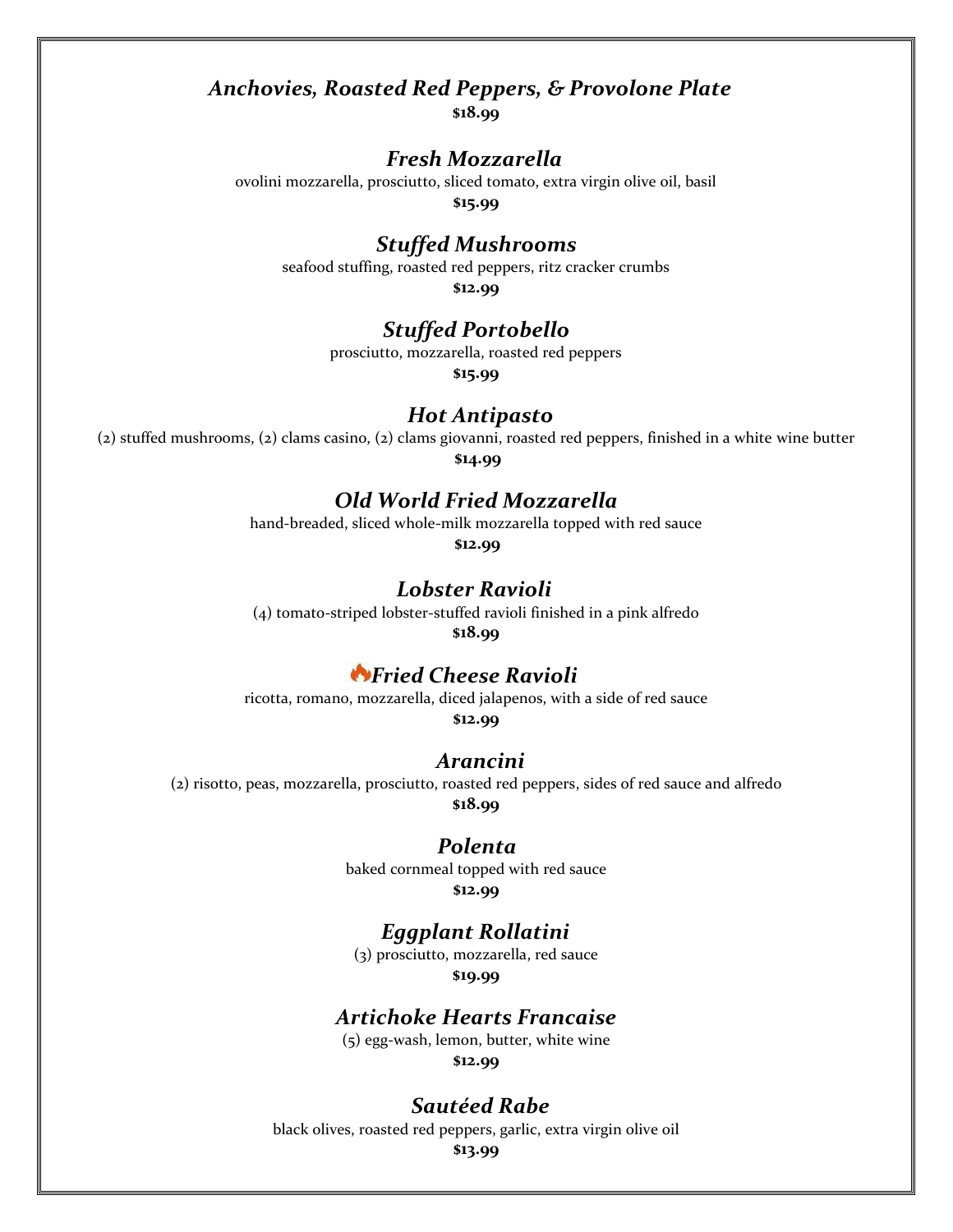## *Anchovies, Roasted Red Peppers, & Provolone Plate*

**\$18.99**

### *Fresh Mozzarella*

ovolini mozzarella, prosciutto, sliced tomato, extra virgin olive oil, basil

**\$15.99**

### *Stuffed Mushrooms*

seafood stuffing, roasted red peppers, ritz cracker crumbs **\$12.99**

### *Stuffed Portobello*

prosciutto, mozzarella, roasted red peppers

**\$15.99**

#### *Hot Antipasto*

(2) stuffed mushrooms, (2) clams casino, (2) clams giovanni, roasted red peppers, finished in a white wine butter **\$14.99**

## *Old World Fried Mozzarella*

hand-breaded, sliced whole-milk mozzarella topped with red sauce

**\$12.99**

#### *Lobster Ravioli*

(4) tomato-striped lobster-stuffed ravioli finished in a pink alfredo **\$18.99**

## *Fried Cheese Ravioli*

ricotta, romano, mozzarella, diced jalapenos, with a side of red sauce **\$12.99**

#### *Arancini*

(2) risotto, peas, mozzarella, prosciutto, roasted red peppers, sides of red sauce and alfredo **\$18.99**

#### *Polenta*

baked cornmeal topped with red sauce **\$12.99**

#### *Eggplant Rollatini*

(3) prosciutto, mozzarella, red sauce **\$19.99**

#### *Artichoke Hearts Francaise*

(5) egg-wash, lemon, butter, white wine **\$12.99**

#### *Sautéed Rabe*

black olives, roasted red peppers, garlic, extra virgin olive oil

**\$13.99**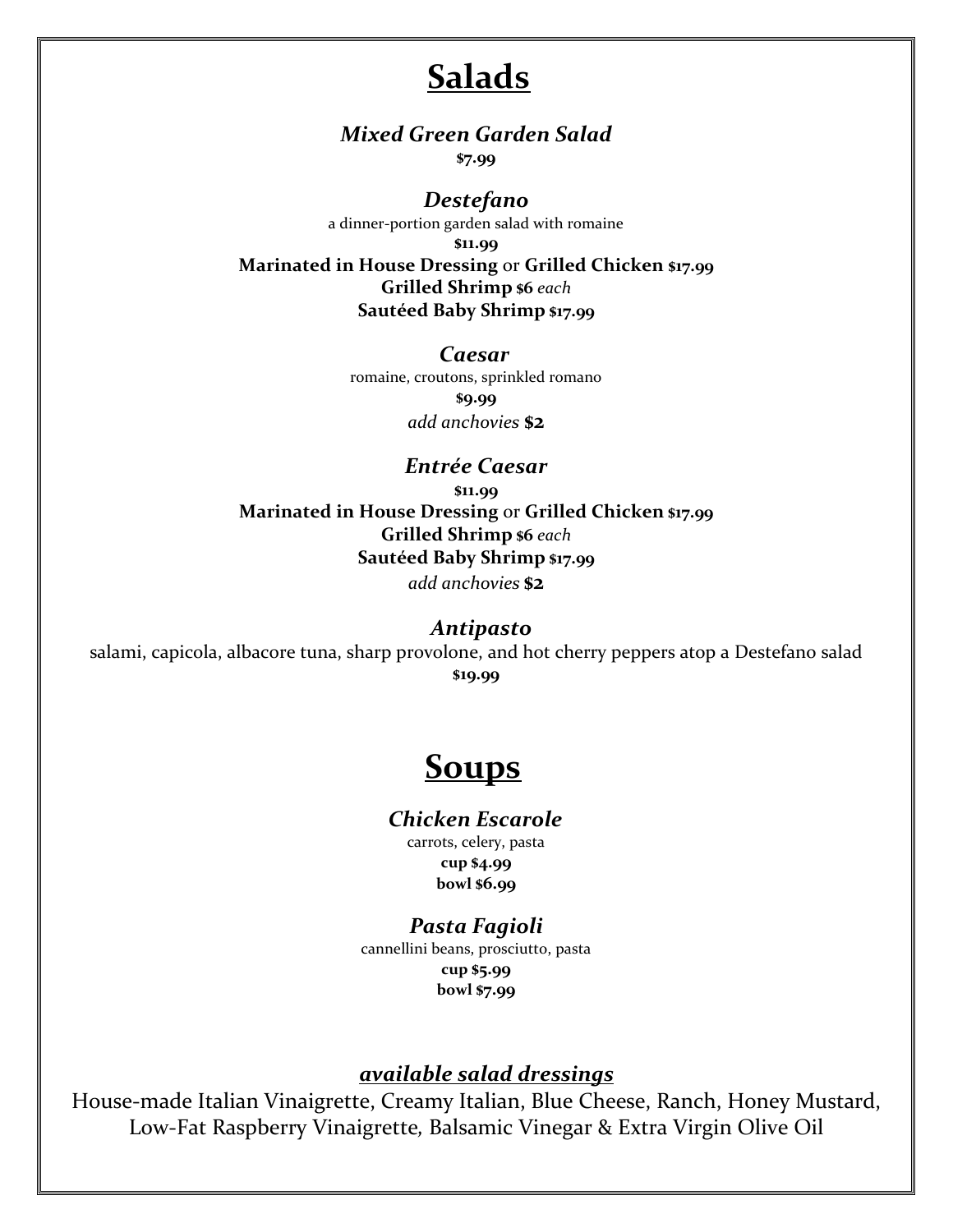# **Salads**

## *Mixed Green Garden Salad*

**\$7.99**

#### *Destefano*

a dinner-portion garden salad with romaine **\$11.99 Marinated in House Dressing** or **Grilled Chicken \$17.99 Grilled Shrimp \$6** *each* **Sautéed Baby Shrimp \$17.99**

*Caesar*

romaine, croutons, sprinkled romano **\$9.99** *add anchovies* **\$2**

*Entrée Caesar* **\$11.99 Marinated in House Dressing** or **Grilled Chicken \$17.99 Grilled Shrimp \$6** *each* **Sautéed Baby Shrimp \$17.99** *add anchovies* **\$2**

#### *Antipasto*

salami, capicola, albacore tuna, sharp provolone, and hot cherry peppers atop a Destefano salad **\$19.99**

# **Soups**

#### *Chicken Escarole*

carrots, celery, pasta **cup \$4.99 bowl \$6.99**

### *Pasta Fagioli*

cannellini beans, prosciutto, pasta **cup \$5.99 bowl \$7.99**

## *available salad dressings*

House-made Italian Vinaigrette, Creamy Italian, Blue Cheese, Ranch, Honey Mustard, Low-Fat Raspberry Vinaigrette*,* Balsamic Vinegar & Extra Virgin Olive Oil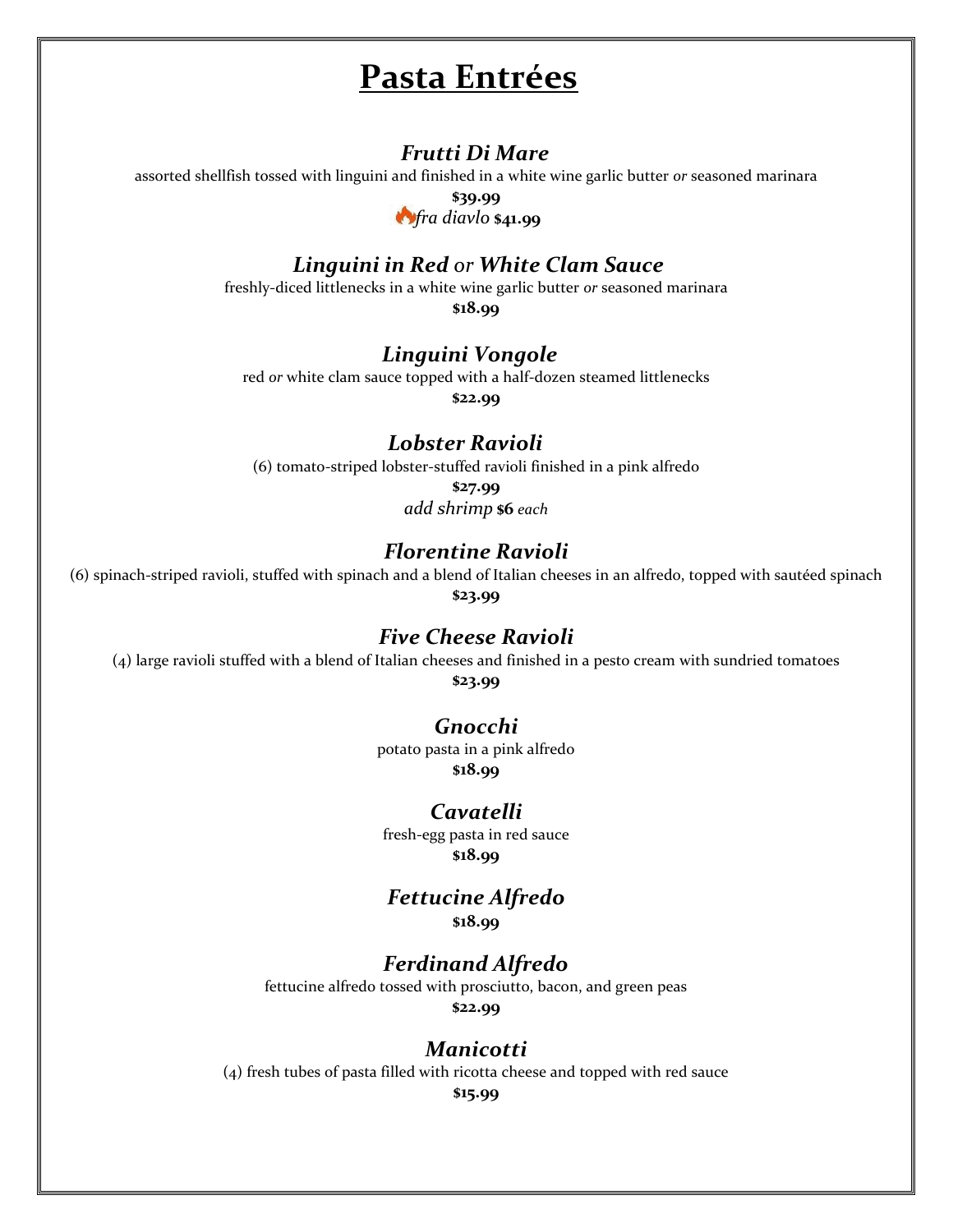# **Pasta Entrées**

### *Frutti Di Mare*

assorted shellfish tossed with linguini and finished in a white wine garlic butter *or* seasoned marinara

**\$39.99** *fra diavlo* **\$41.99**

## *Linguini in Red or White Clam Sauce*

freshly-diced littlenecks in a white wine garlic butter *or* seasoned marinara

**\$18.99**

## *Linguini Vongole*

red *or* white clam sauce topped with a half-dozen steamed littlenecks

**\$22.99**

## *Lobster Ravioli*

(6) tomato-striped lobster-stuffed ravioli finished in a pink alfredo

**\$27.99** *add shrimp* **\$6** *each*

## *Florentine Ravioli*

(6) spinach-striped ravioli, stuffed with spinach and a blend of Italian cheeses in an alfredo, topped with sautéed spinach **\$23.99**

#### *Five Cheese Ravioli*

(4) large ravioli stuffed with a blend of Italian cheeses and finished in a pesto cream with sundried tomatoes

**\$23.99**

### *Gnocchi*

potato pasta in a pink alfredo **\$18.99**

### *Cavatelli*

fresh-egg pasta in red sauce **\$18.99**

#### *Fettucine Alfredo* **\$18.99**

## *Ferdinand Alfredo*

fettucine alfredo tossed with prosciutto, bacon, and green peas

**\$22.99**

#### *Manicotti*

(4) fresh tubes of pasta filled with ricotta cheese and topped with red sauce

**\$15.99**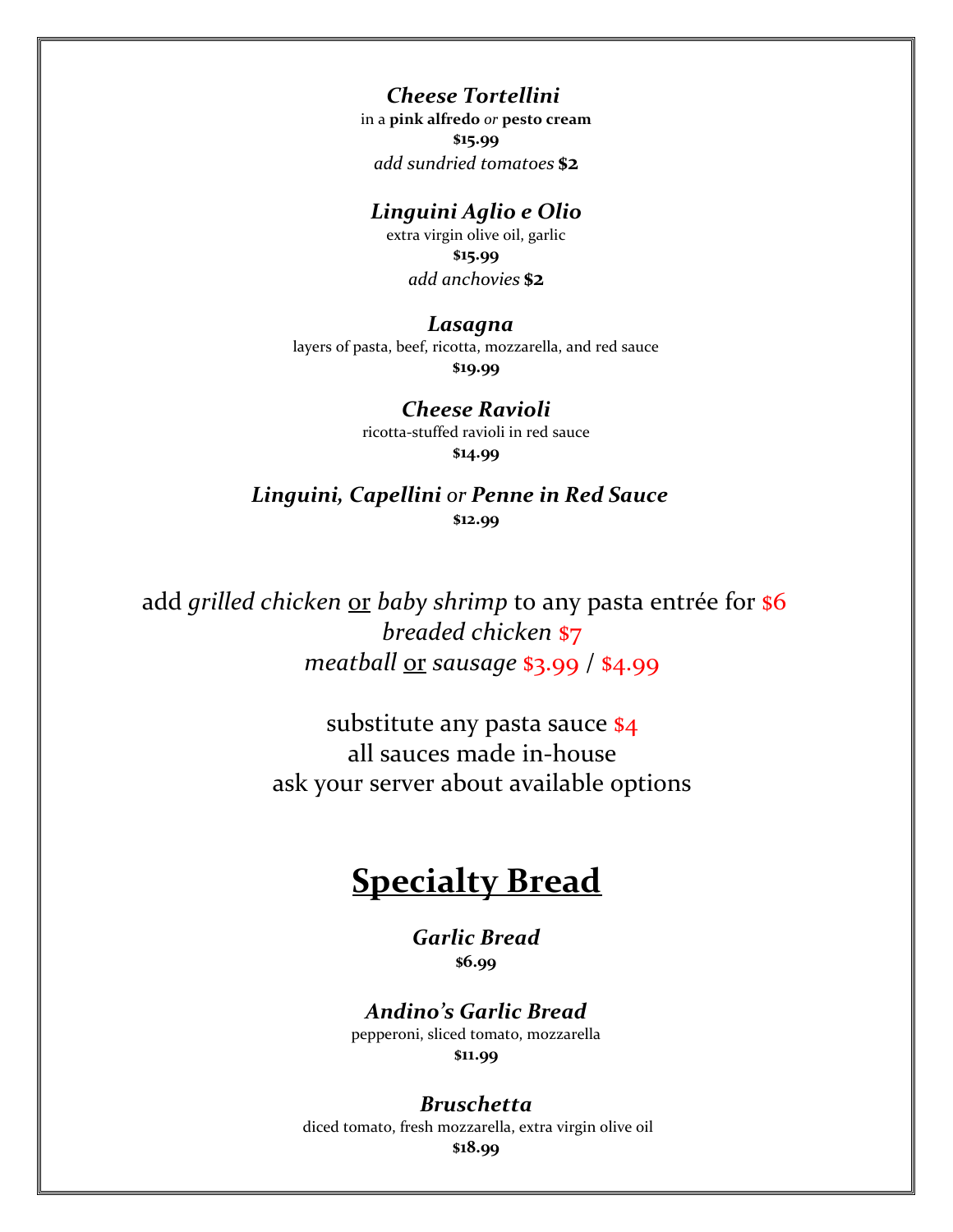## *Cheese Tortellini*

in a **pink alfredo** *or* **pesto cream \$15.99** *add sundried tomatoes* **\$2**

## *Linguini Aglio e Olio*

extra virgin olive oil, garlic **\$15.99** *add anchovies* **\$2**

#### *Lasagna*

layers of pasta, beef, ricotta, mozzarella, and red sauce **\$19.99**

### *Cheese Ravioli*

ricotta-stuffed ravioli in red sauce **\$14.99**

## *Linguini, Capellini or Penne in Red Sauce* **\$12.99**

add *grilled chicken* or *baby shrimp* to any pasta entrée for **\$6**  *breaded chicken* \$7  *meatball* or *sausage* \$3.99 / \$4.99

> substitute any pasta sauce \$4 all sauces made in-house ask your server about available options

# **Specialty Bread**

#### *Garlic Bread* **\$6.99**

*Andino's Garlic Bread* pepperoni, sliced tomato, mozzarella

**\$11.99**

#### *Bruschetta*

diced tomato, fresh mozzarella, extra virgin olive oil **\$18.99**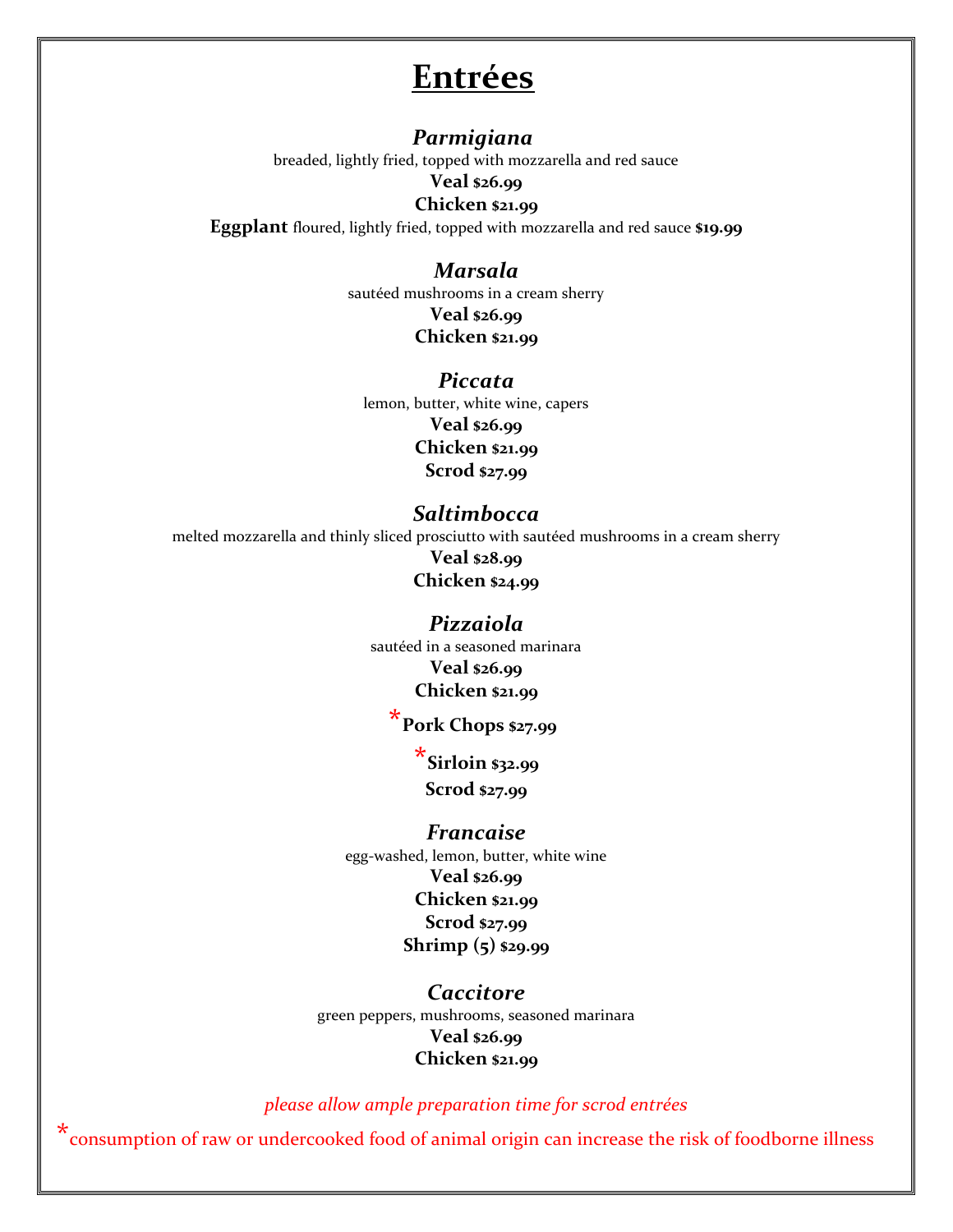# **Entrées**

#### *Parmigiana*

breaded, lightly fried, topped with mozzarella and red sauce

#### **Veal \$26.99**

#### **Chicken \$21.99**

**Eggplant** floured, lightly fried, topped with mozzarella and red sauce **\$19.99**

## *Marsala*

sautéed mushrooms in a cream sherry **Veal \$26.99 Chicken \$21.99**

*Piccata* lemon, butter, white wine, capers **Veal \$26.99 Chicken \$21.99 Scrod \$27.99**

#### *Saltimbocca*

melted mozzarella and thinly sliced prosciutto with sautéed mushrooms in a cream sherry **Veal \$28.99 Chicken \$24.99**

> *Pizzaiola* sautéed in a seasoned marinara **Veal \$26.99 Chicken \$21.99**

# **\*Pork Chops \$27.99**

**\*Sirloin \$32.99 Scrod \$27.99**

#### *Francaise*

egg-washed, lemon, butter, white wine **Veal \$26.99 Chicken \$21.99 Scrod \$27.99 Shrimp (5) \$29.99**

*Caccitore* green peppers, mushrooms, seasoned marinara **Veal \$26.99 Chicken \$21.99**

*please allow ample preparation time for scrod entrées*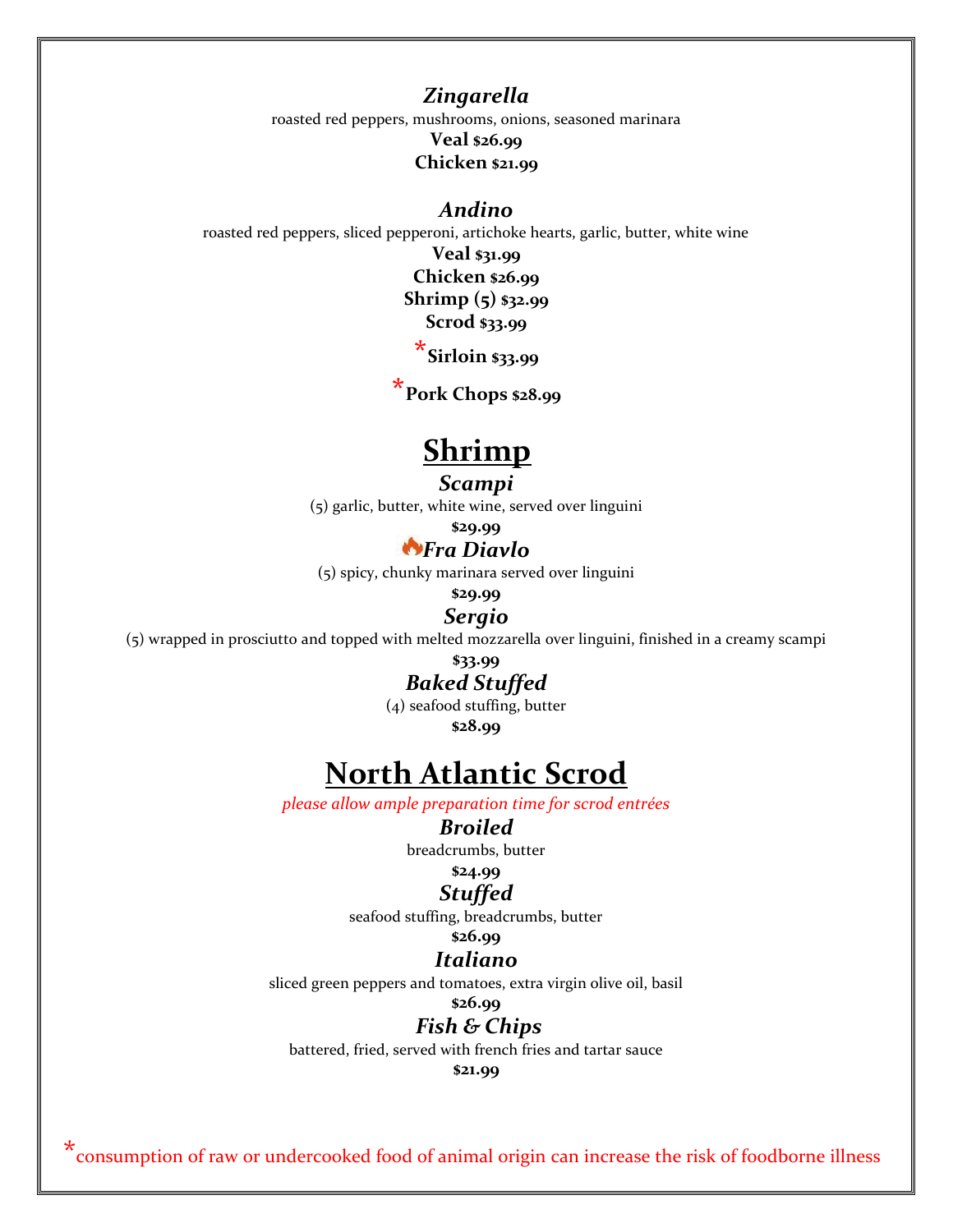## *Zingarella*

roasted red peppers, mushrooms, onions, seasoned marinara

#### **Veal \$26.99 Chicken \$21.99**

#### *Andino*

roasted red peppers, sliced pepperoni, artichoke hearts, garlic, butter, white wine

**Veal \$31.99**

**Chicken \$26.99 Shrimp (5) \$32.99**

**Scrod \$33.99**

**\*Sirloin \$33.99**

**\*Pork Chops \$28.99**

# **Shrimp**

#### *Scampi*

(5) garlic, butter, white wine, served over linguini

**\$29.99**

## *Fra Diavlo*

(5) spicy, chunky marinara served over linguini

**\$29.99**

#### *Sergio*

(5) wrapped in prosciutto and topped with melted mozzarella over linguini, finished in a creamy scampi

**\$33.99** *Baked Stuffed*

(4) seafood stuffing, butter

**\$28.99**

# **North Atlantic Scrod**

*please allow ample preparation time for scrod entrées*

#### *Broiled*

breadcrumbs, butter

## **\$24.99**

*Stuffed*

seafood stuffing, breadcrumbs, butter

## **\$26.99**

## *Italiano*

sliced green peppers and tomatoes, extra virgin olive oil, basil

**\$26.99**

## *Fish & Chips*

battered, fried, served with french fries and tartar sauce

**\$21.99**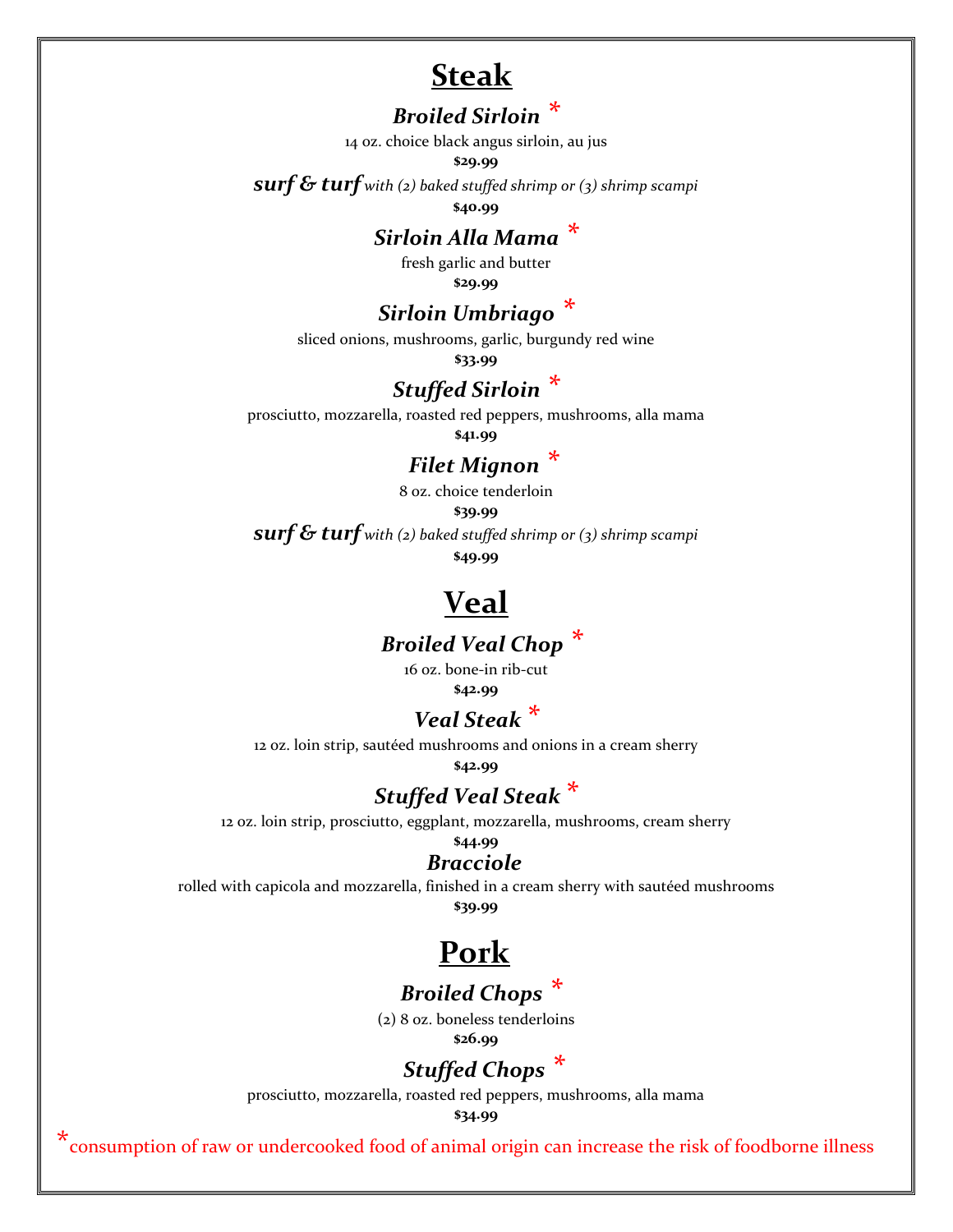## **Steak**

## *Broiled Sirloin \**

14 oz. choice black angus sirloin, au jus

#### **\$29.99**

*surf & turf with (2) baked stuffed shrimp or (3) shrimp scampi*

**\$40.99**

## *Sirloin Alla Mama \**

fresh garlic and butter **\$29.99**

## *Sirloin Umbriago \**

sliced onions, mushrooms, garlic, burgundy red wine

**\$33.99**

## *Stuffed Sirloin \**

prosciutto, mozzarella, roasted red peppers, mushrooms, alla mama **\$41.99**

## *Filet Mignon \**

8 oz. choice tenderloin

**\$39.99** *surf & turf with (2) baked stuffed shrimp or (3) shrimp scampi*

**\$49.99**

# **Veal**

## *Broiled Veal Chop \**

16 oz. bone-in rib-cut

**\$42.99**

## *Veal Steak \**

12 oz. loin strip, sautéed mushrooms and onions in a cream sherry

**\$42.99**

## *Stuffed Veal Steak \**

12 oz. loin strip, prosciutto, eggplant, mozzarella, mushrooms, cream sherry

#### **\$44.99**  *Bracciole*

rolled with capicola and mozzarella, finished in a cream sherry with sautéed mushrooms **\$39.99**

# **Pork**

## *Broiled Chops \**

(2) 8 oz. boneless tenderloins **\$26.99**

## *Stuffed Chops \**

prosciutto, mozzarella, roasted red peppers, mushrooms, alla mama

**\$34.99**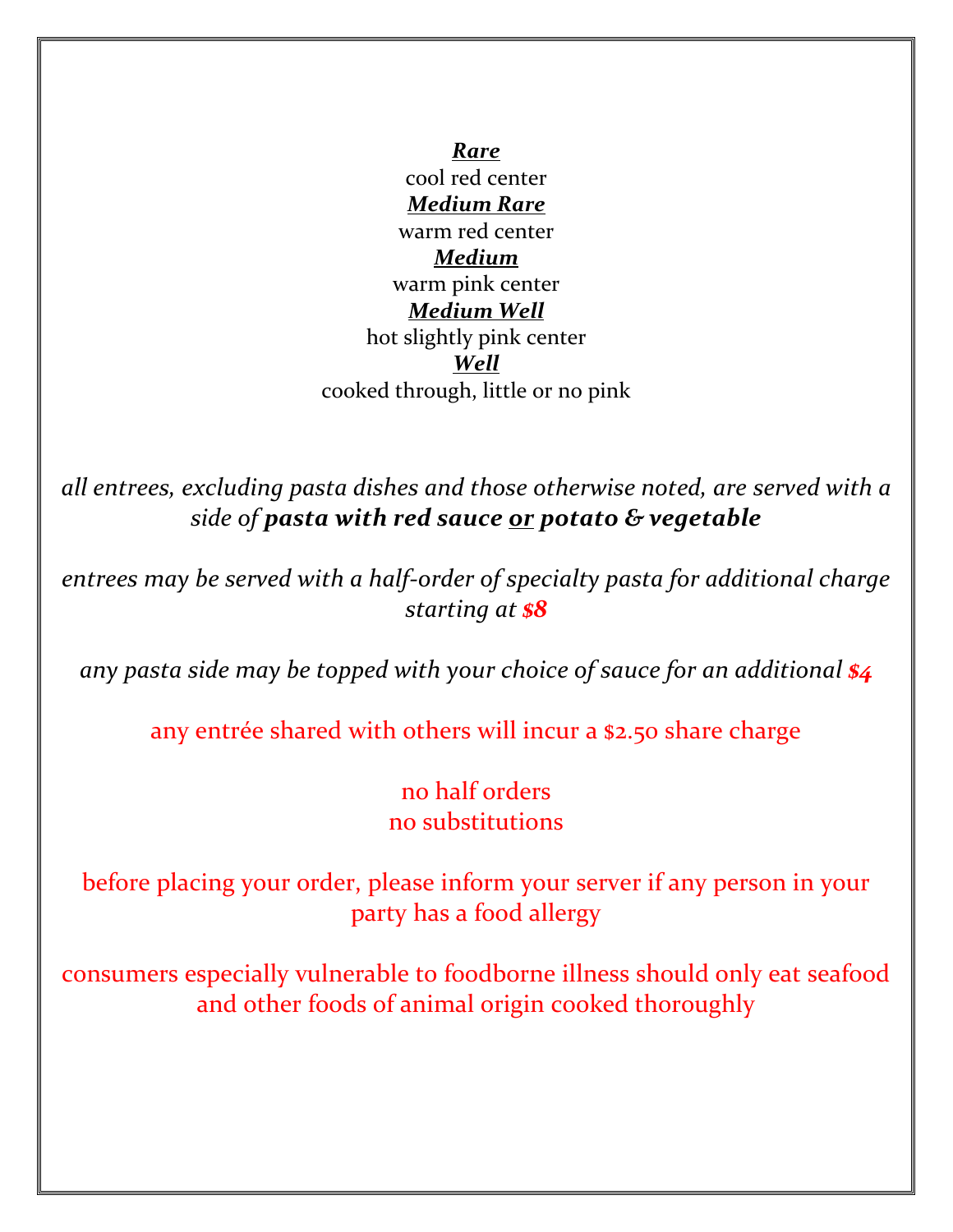*Rare* cool red center *Medium Rare* warm red center *Medium* warm pink center *Medium Well* hot slightly pink center *Well* cooked through, little or no pink

*all entrees, excluding pasta dishes and those otherwise noted, are served with a side of pasta with red sauce or potato & vegetable*

*entrees may be served with a half-order of specialty pasta for additional charge starting at \$8*

*any pasta side may be topped with your choice of sauce for an additional \$4*

any entrée shared with others will incur a \$2.50 share charge

no half orders no substitutions

before placing your order, please inform your server if any person in your party has a food allergy

consumers especially vulnerable to foodborne illness should only eat seafood and other foods of animal origin cooked thoroughly